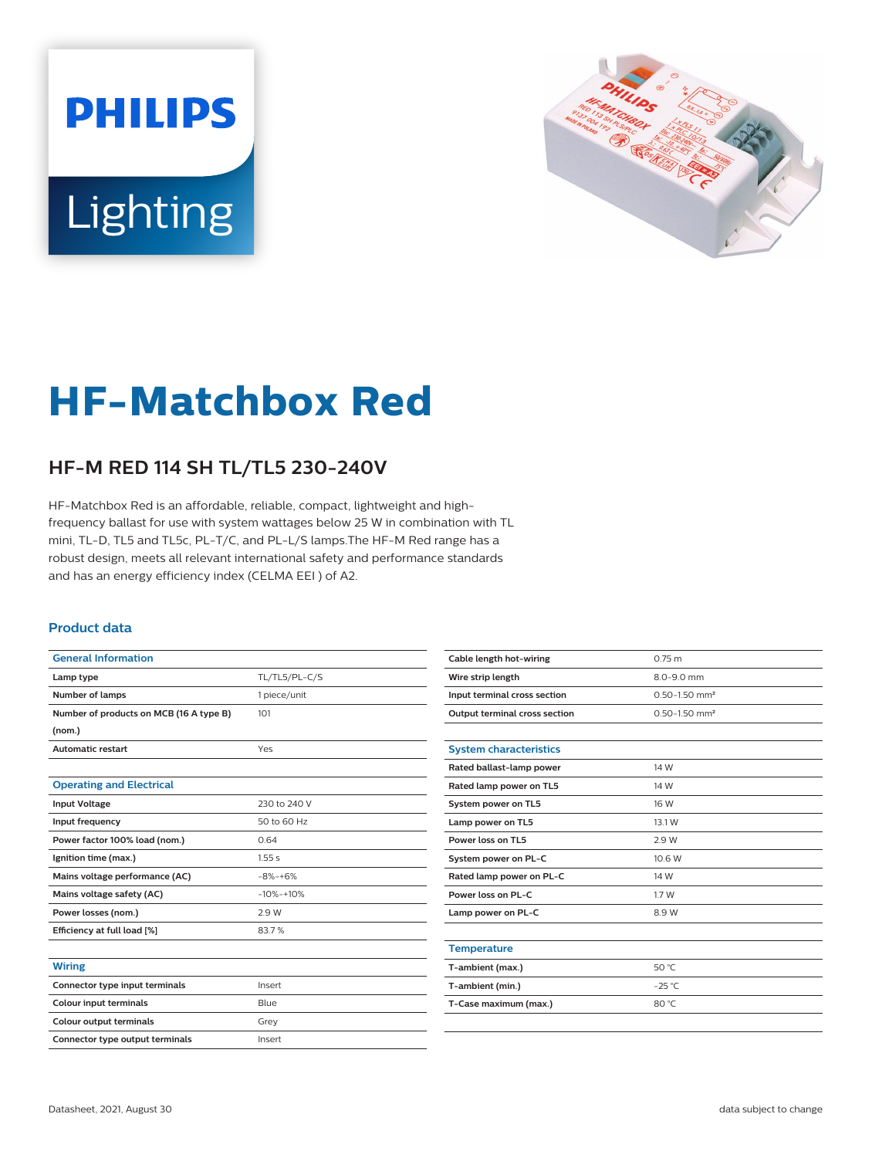# **PHILIPS** Lighting



## **HF-Matchbox Red**

### **HF-M RED 114 SH TL/TL5 230-240V**

HF-Matchbox Red is an affordable, reliable, compact, lightweight and highfrequency ballast for use with system wattages below 25 W in combination with TL mini, TL-D, TL5 and TL5c, PL-T/C, and PL-L/S lamps.The HF-M Red range has a robust design, meets all relevant international safety and performance standards and has an energy efficiency index (CELMA EEI ) of A2.

#### **Product data**

| <b>General Information</b>              |               |
|-----------------------------------------|---------------|
| Lamp type                               | TL/TL5/PL-C/S |
| Number of lamps                         | 1 piece/unit  |
| Number of products on MCB (16 A type B) | 101           |
| (nom.)                                  |               |
| <b>Automatic restart</b>                | Yes           |
|                                         |               |
| <b>Operating and Electrical</b>         |               |
| <b>Input Voltage</b>                    | 230 to 240 V  |
| Input frequency                         | 50 to 60 Hz   |
| Power factor 100% load (nom.)           | 0.64          |
| Ignition time (max.)                    | 1.55s         |
| Mains voltage performance (AC)          | $-8% -+6%$    |
| Mains voltage safety (AC)               | $-10% -10%$   |
| Power losses (nom.)                     | 2.9 W         |
| Efficiency at full load [%]             | 83.7%         |
|                                         |               |
| <b>Wiring</b>                           |               |
| Connector type input terminals          | Insert        |
| <b>Colour input terminals</b>           | Blue          |
| Colour output terminals                 | Grey          |
| Connector type output terminals         | Insert        |

| Cable length hot-wiring              | 0.75 m                        |
|--------------------------------------|-------------------------------|
| Wire strip length                    | 8.0-9.0 mm                    |
| Input terminal cross section         | $0.50 - 1.50$ mm <sup>2</sup> |
| <b>Output terminal cross section</b> | $0.50 - 1.50$ mm <sup>2</sup> |
|                                      |                               |
| <b>System characteristics</b>        |                               |
| Rated ballast-lamp power             | 14 W                          |
| Rated lamp power on TL5              | 14 W                          |
| System power on TL5                  | 16 W                          |
| Lamp power on TL5                    | 13.1 W                        |
| Power loss on TL5                    | 2.9 W                         |
| System power on PL-C                 | 10.6 W                        |
| Rated lamp power on PL-C             | 14 W                          |
| Power loss on PL-C                   | 1.7 W                         |
| Lamp power on PL-C                   | 8.9 W                         |
|                                      |                               |
| <b>Temperature</b>                   |                               |
| T-ambient (max.)                     | 50 °C                         |
| T-ambient (min.)                     | $-25^{\circ}$ C               |
| T-Case maximum (max.)                | 80 °C                         |
|                                      |                               |